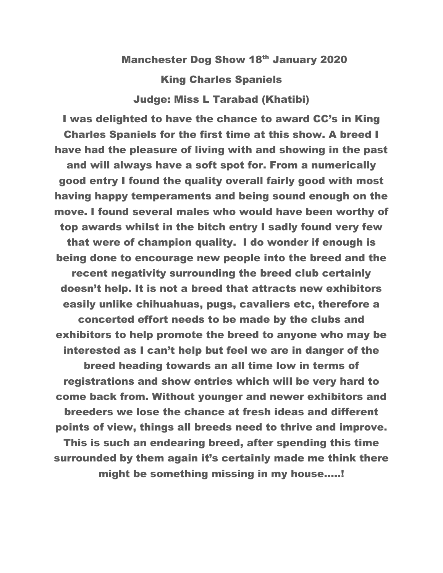## Manchester Dog Show 18th January 2020 King Charles Spaniels Judge: Miss L Tarabad (Khatibi)

I was delighted to have the chance to award CC's in King Charles Spaniels for the first time at this show. A breed I have had the pleasure of living with and showing in the past and will always have a soft spot for. From a numerically good entry I found the quality overall fairly good with most having happy temperaments and being sound enough on the move. I found several males who would have been worthy of top awards whilst in the bitch entry I sadly found very few that were of champion quality. I do wonder if enough is being done to encourage new people into the breed and the recent negativity surrounding the breed club certainly doesn't help. It is not a breed that attracts new exhibitors easily unlike chihuahuas, pugs, cavaliers etc, therefore a concerted effort needs to be made by the clubs and exhibitors to help promote the breed to anyone who may be interested as I can't help but feel we are in danger of the breed heading towards an all time low in terms of registrations and show entries which will be very hard to come back from. Without younger and newer exhibitors and breeders we lose the chance at fresh ideas and different points of view, things all breeds need to thrive and improve. This is such an endearing breed, after spending this time surrounded by them again it's certainly made me think there might be something missing in my house.....!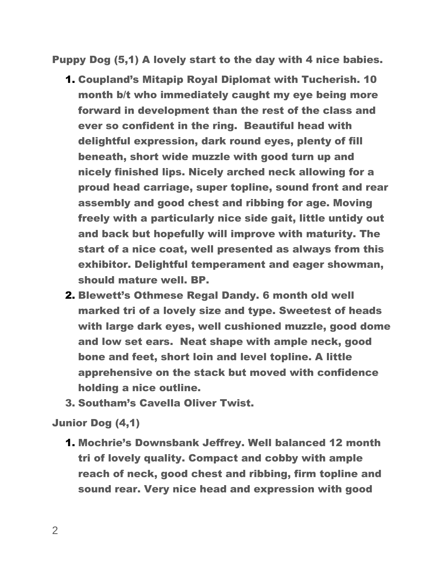Puppy Dog (5,1) A lovely start to the day with 4 nice babies.

- 1. Coupland's Mitapip Royal Diplomat with Tucherish. 10 month b/t who immediately caught my eye being more forward in development than the rest of the class and ever so confident in the ring. Beautiful head with delightful expression, dark round eyes, plenty of fill beneath, short wide muzzle with good turn up and nicely finished lips. Nicely arched neck allowing for a proud head carriage, super topline, sound front and rear assembly and good chest and ribbing for age. Moving freely with a particularly nice side gait, little untidy out and back but hopefully will improve with maturity. The start of a nice coat, well presented as always from this exhibitor. Delightful temperament and eager showman, should mature well. BP.
- 2. Blewett's Othmese Regal Dandy. 6 month old well marked tri of a lovely size and type. Sweetest of heads with large dark eyes, well cushioned muzzle, good dome and low set ears. Neat shape with ample neck, good bone and feet, short loin and level topline. A little apprehensive on the stack but moved with confidence holding a nice outline.
- 3. Southam's Cavella Oliver Twist.

## Junior Dog (4,1)

1. Mochrie's Downsbank Jeffrey. Well balanced 12 month tri of lovely quality. Compact and cobby with ample reach of neck, good chest and ribbing, firm topline and sound rear. Very nice head and expression with good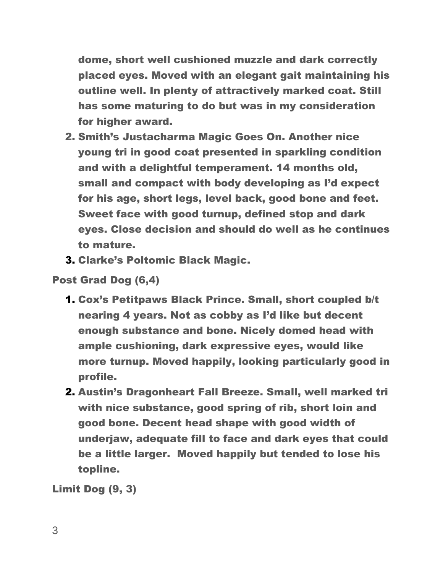dome, short well cushioned muzzle and dark correctly placed eyes. Moved with an elegant gait maintaining his outline well. In plenty of attractively marked coat. Still has some maturing to do but was in my consideration for higher award.

- 2. Smith's Justacharma Magic Goes On. Another nice young tri in good coat presented in sparkling condition and with a delightful temperament. 14 months old, small and compact with body developing as I'd expect for his age, short legs, level back, good bone and feet. Sweet face with good turnup, defined stop and dark eyes. Close decision and should do well as he continues to mature.
- 3. Clarke's Poltomic Black Magic.

Post Grad Dog (6,4)

- 1. Cox's Petitpaws Black Prince. Small, short coupled b/t nearing 4 years. Not as cobby as I'd like but decent enough substance and bone. Nicely domed head with ample cushioning, dark expressive eyes, would like more turnup. Moved happily, looking particularly good in profile.
- 2. Austin's Dragonheart Fall Breeze. Small, well marked tri with nice substance, good spring of rib, short loin and good bone. Decent head shape with good width of underjaw, adequate fill to face and dark eyes that could be a little larger. Moved happily but tended to lose his topline.

Limit Dog (9, 3)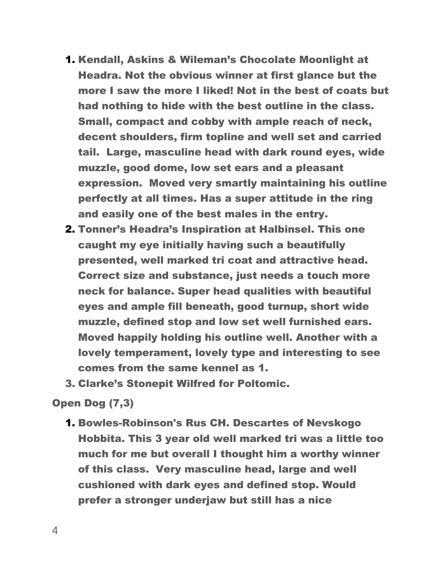- 1. Kendall, Askins & Wileman's Chocolate Moonlight at Headra. Not the obvious winner at first glance but the more I saw the more I liked! Not in the best of coats but had nothing to hide with the best outline in the class. Small, compact and cobby with ample reach of neck, decent shoulders, firm topline and well set and carried tail. Large, masculine head with dark round eyes, wide muzzle, good dome, low set ears and a pleasant expression. Moved very smartly maintaining his outline perfectly at all times. Has a super attitude in the ring and easily one of the best males in the entry.
- 2. Tonner's Headra's Inspiration at Halbinsel. This one caught my eye initially having such a beautifully presented, well marked tri coat and attractive head. Correct size and substance, just needs a touch more neck for balance. Super head qualities with beautiful eyes and ample fill beneath, good turnup, short wide muzzle, defined stop and low set well furnished ears. Moved happily holding his outline well. Another with a lovely temperament, lovely type and interesting to see comes from the same kennel as 1.
- 3. Clarke's Stonepit Wilfred for Poltomic.

Open Dog (7,3)

1. Bowles-Robinson's Rus CH. Descartes of Nevskogo Hobbita. This 3 year old well marked tri was a little too much for me but overall I thought him a worthy winner of this class. Very masculine head, large and well cushioned with dark eyes and defined stop. Would prefer a stronger underjaw but still has a nice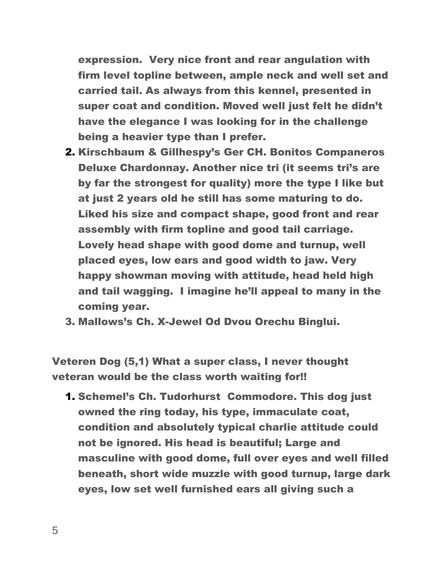expression. Very nice front and rear angulation with firm level topline between, ample neck and well set and carried tail. As always from this kennel, presented in super coat and condition. Moved well just felt he didn't have the elegance I was looking for in the challenge being a heavier type than I prefer.

- 2. Kirschbaum & Gillhespy's Ger CH. Bonitos Companeros Deluxe Chardonnay. Another nice tri (it seems tri's are by far the strongest for quality) more the type I like but at just 2 years old he still has some maturing to do. Liked his size and compact shape, good front and rear assembly with firm topline and good tail carriage. Lovely head shape with good dome and turnup, well placed eyes, low ears and good width to jaw. Very happy showman moving with attitude, head held high and tail wagging. I imagine he'll appeal to many in the coming year.
- 3. Mallows's Ch. X-Jewel Od Dvou Orechu Binglui.

Veteren Dog (5,1) What a super class, I never thought veteran would be the class worth waiting for!!

1. Schemel's Ch. Tudorhurst Commodore. This dog just owned the ring today, his type, immaculate coat, condition and absolutely typical charlie attitude could not be ignored. His head is beautiful; Large and masculine with good dome, full over eyes and well filled beneath, short wide muzzle with good turnup, large dark eyes, low set well furnished ears all giving such a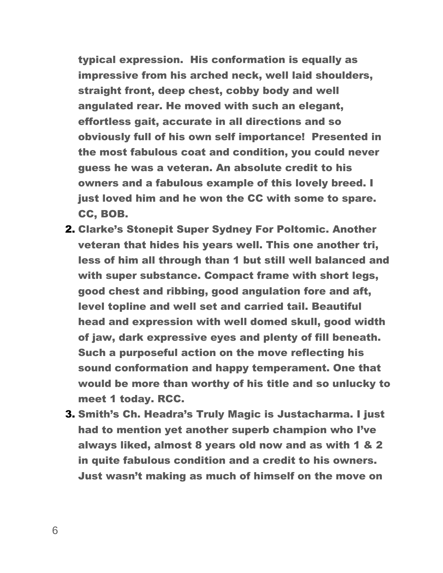typical expression. His conformation is equally as impressive from his arched neck, well laid shoulders, straight front, deep chest, cobby body and well angulated rear. He moved with such an elegant, effortless gait, accurate in all directions and so obviously full of his own self importance! Presented in the most fabulous coat and condition, you could never guess he was a veteran. An absolute credit to his owners and a fabulous example of this lovely breed. I just loved him and he won the CC with some to spare. CC, BOB.

- 2. Clarke's Stonepit Super Sydney For Poltomic. Another veteran that hides his years well. This one another tri, less of him all through than 1 but still well balanced and with super substance. Compact frame with short legs, good chest and ribbing, good angulation fore and aft, level topline and well set and carried tail. Beautiful head and expression with well domed skull, good width of jaw, dark expressive eyes and plenty of fill beneath. Such a purposeful action on the move reflecting his sound conformation and happy temperament. One that would be more than worthy of his title and so unlucky to meet 1 today. RCC.
- 3. Smith's Ch. Headra's Truly Magic is Justacharma. I just had to mention yet another superb champion who I've always liked, almost 8 years old now and as with 1 & 2 in quite fabulous condition and a credit to his owners. Just wasn't making as much of himself on the move on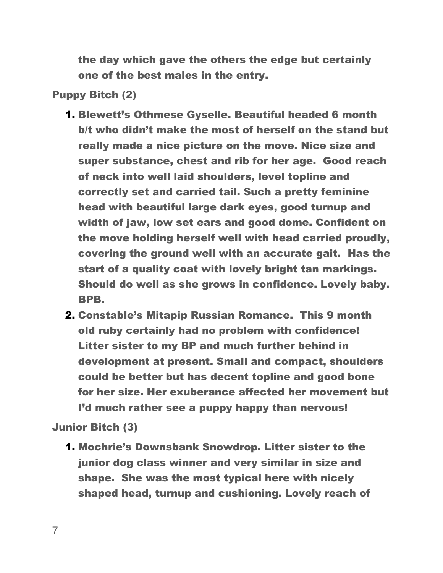the day which gave the others the edge but certainly one of the best males in the entry.

## Puppy Bitch (2)

- 1. Blewett's Othmese Gyselle. Beautiful headed 6 month b/t who didn't make the most of herself on the stand but really made a nice picture on the move. Nice size and super substance, chest and rib for her age. Good reach of neck into well laid shoulders, level topline and correctly set and carried tail. Such a pretty feminine head with beautiful large dark eyes, good turnup and width of jaw, low set ears and good dome. Confident on the move holding herself well with head carried proudly, covering the ground well with an accurate gait. Has the start of a quality coat with lovely bright tan markings. Should do well as she grows in confidence. Lovely baby. BPB.
- 2. Constable's Mitapip Russian Romance. This 9 month old ruby certainly had no problem with confidence! Litter sister to my BP and much further behind in development at present. Small and compact, shoulders could be better but has decent topline and good bone for her size. Her exuberance affected her movement but I'd much rather see a puppy happy than nervous!

Junior Bitch (3)

1. Mochrie's Downsbank Snowdrop. Litter sister to the junior dog class winner and very similar in size and shape. She was the most typical here with nicely shaped head, turnup and cushioning. Lovely reach of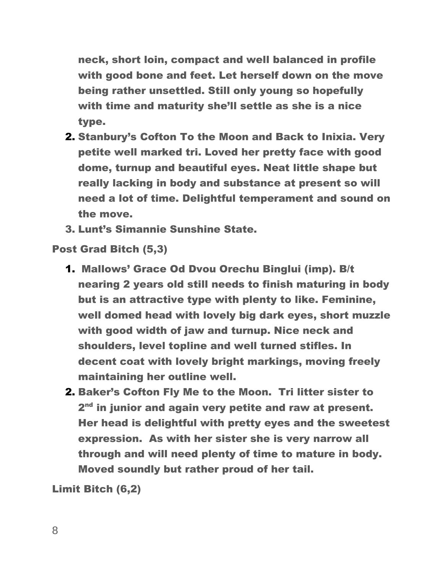neck, short loin, compact and well balanced in profile with good bone and feet. Let herself down on the move being rather unsettled. Still only young so hopefully with time and maturity she'll settle as she is a nice type.

- 2. Stanbury's Cofton To the Moon and Back to Inixia. Very petite well marked tri. Loved her pretty face with good dome, turnup and beautiful eyes. Neat little shape but really lacking in body and substance at present so will need a lot of time. Delightful temperament and sound on the move.
- 3. Lunt's Simannie Sunshine State.

Post Grad Bitch (5,3)

- 1. Mallows' Grace Od Dvou Orechu Binglui (imp). B/t nearing 2 years old still needs to finish maturing in body but is an attractive type with plenty to like. Feminine, well domed head with lovely big dark eyes, short muzzle with good width of jaw and turnup. Nice neck and shoulders, level topline and well turned stifles. In decent coat with lovely bright markings, moving freely maintaining her outline well.
- 2. Baker's Cofton Fly Me to the Moon. Tri litter sister to 2<sup>nd</sup> in junior and again very petite and raw at present. Her head is delightful with pretty eyes and the sweetest expression. As with her sister she is very narrow all through and will need plenty of time to mature in body. Moved soundly but rather proud of her tail.

Limit Bitch (6,2)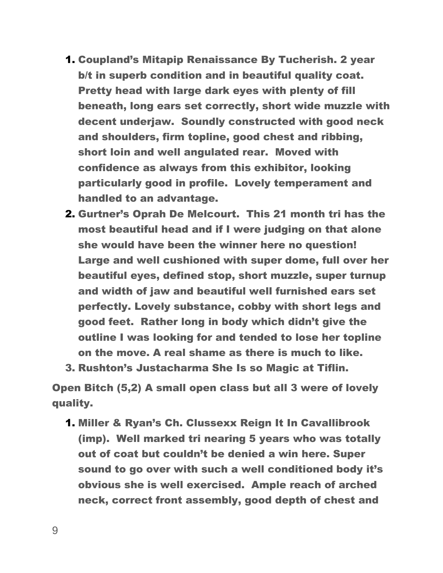- 1. Coupland's Mitapip Renaissance By Tucherish. 2 year b/t in superb condition and in beautiful quality coat. Pretty head with large dark eyes with plenty of fill beneath, long ears set correctly, short wide muzzle with decent underjaw. Soundly constructed with good neck and shoulders, firm topline, good chest and ribbing, short loin and well angulated rear. Moved with confidence as always from this exhibitor, looking particularly good in profile. Lovely temperament and handled to an advantage.
- 2. Gurtner's Oprah De Melcourt. This 21 month tri has the most beautiful head and if I were judging on that alone she would have been the winner here no question! Large and well cushioned with super dome, full over her beautiful eyes, defined stop, short muzzle, super turnup and width of jaw and beautiful well furnished ears set perfectly. Lovely substance, cobby with short legs and good feet. Rather long in body which didn't give the outline I was looking for and tended to lose her topline on the move. A real shame as there is much to like.
- 3. Rushton's Justacharma She Is so Magic at Tiflin.

Open Bitch (5,2) A small open class but all 3 were of lovely quality.

1. Miller & Ryan's Ch. Clussexx Reign It In Cavallibrook (imp). Well marked tri nearing 5 years who was totally out of coat but couldn't be denied a win here. Super sound to go over with such a well conditioned body it's obvious she is well exercised. Ample reach of arched neck, correct front assembly, good depth of chest and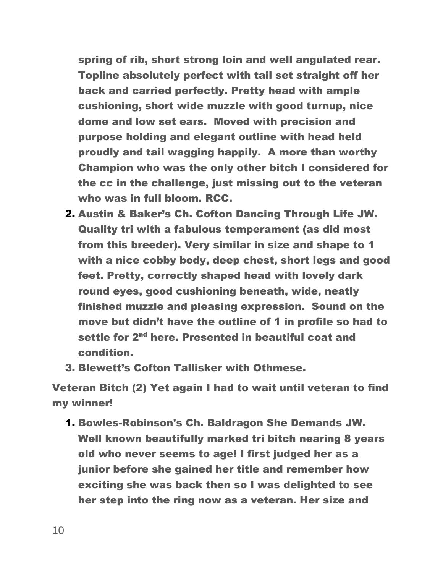spring of rib, short strong loin and well angulated rear. Topline absolutely perfect with tail set straight off her back and carried perfectly. Pretty head with ample cushioning, short wide muzzle with good turnup, nice dome and low set ears. Moved with precision and purpose holding and elegant outline with head held proudly and tail wagging happily. A more than worthy Champion who was the only other bitch I considered for the cc in the challenge, just missing out to the veteran who was in full bloom. RCC.

- 2. Austin & Baker's Ch. Cofton Dancing Through Life JW. Quality tri with a fabulous temperament (as did most from this breeder). Very similar in size and shape to 1 with a nice cobby body, deep chest, short legs and good feet. Pretty, correctly shaped head with lovely dark round eyes, good cushioning beneath, wide, neatly finished muzzle and pleasing expression. Sound on the move but didn't have the outline of 1 in profile so had to settle for 2<sup>nd</sup> here. Presented in beautiful coat and condition.
- 3. Blewett's Cofton Tallisker with Othmese.

Veteran Bitch (2) Yet again I had to wait until veteran to find my winner!

1. Bowles-Robinson's Ch. Baldragon She Demands JW. Well known beautifully marked tri bitch nearing 8 years old who never seems to age! I first judged her as a junior before she gained her title and remember how exciting she was back then so I was delighted to see her step into the ring now as a veteran. Her size and